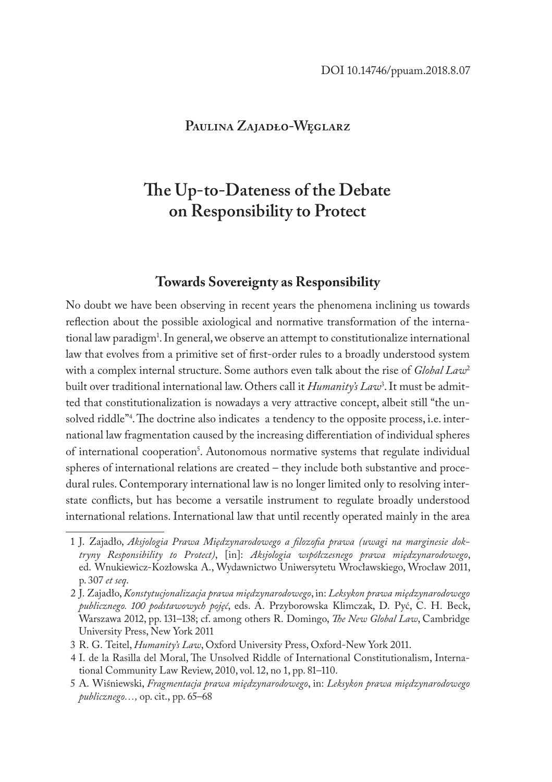## **Paulina Zajadło-Węglarz**

# **The Up-to-Dateness of the Debate on Responsibility to Protect**

## **Towards Sovereignty as Responsibility**

No doubt we have been observing in recent years the phenomena inclining us towards reflection about the possible axiological and normative transformation of the international law paradigm1 . In general, we observe an attempt to constitutionalize international law that evolves from a primitive set of first-order rules to a broadly understood system with a complex internal structure. Some authors even talk about the rise of *Global Law*<sup>2</sup> built over traditional international law. Others call it *Humanity's Law*<sup>3</sup> . It must be admitted that constitutionalization is nowadays a very attractive concept, albeit still "the unsolved riddle"4 . The doctrine also indicates a tendency to the opposite process, i.e. international law fragmentation caused by the increasing differentiation of individual spheres of international cooperation<sup>3</sup>. Autonomous normative systems that regulate individual spheres of international relations are created – they include both substantive and procedural rules. Contemporary international law is no longer limited only to resolving interstate conflicts, but has become a versatile instrument to regulate broadly understood international relations. International law that until recently operated mainly in the area

<sup>1</sup> J. Zajadło, *Aksjologia Prawa Międzynarodowego a filozofia prawa (uwagi na marginesie doktryny Responsibility to Protect)*, [in]: *Aksjologia współczesnego prawa międzynarodowego*, ed. Wnukiewicz-Kozłowska A., Wydawnictwo Uniwersytetu Wrocławskiego, Wrocław 2011, p. 307 *et seq*.

<sup>2</sup> J. Zajadło, *Konstytucjonalizacja prawa międzynarodowego*, in: *Leksykon prawa międzynarodowego publicznego. 100 podstawowych pojęć*, eds. A. Przyborowska Klimczak, D. Pyć, C. H. Beck, Warszawa 2012, pp. 131–138; cf. among others R. Domingo, *The New Global Law*, Cambridge University Press, New York 2011

<sup>3</sup> R. G. Teitel, *Humanity's Law*, Oxford University Press, Oxford-New York 2011.

<sup>4</sup> I. de la Rasilla del Moral, The Unsolved Riddle of International Constitutionalism, International Community Law Review, 2010, vol. 12, no 1, pp. 81–110.

<sup>5</sup> A. Wiśniewski, *Fragmentacja prawa międzynarodowego*, in: *Leksykon prawa międzynarodowego publicznego…,* op. cit., pp. 65–68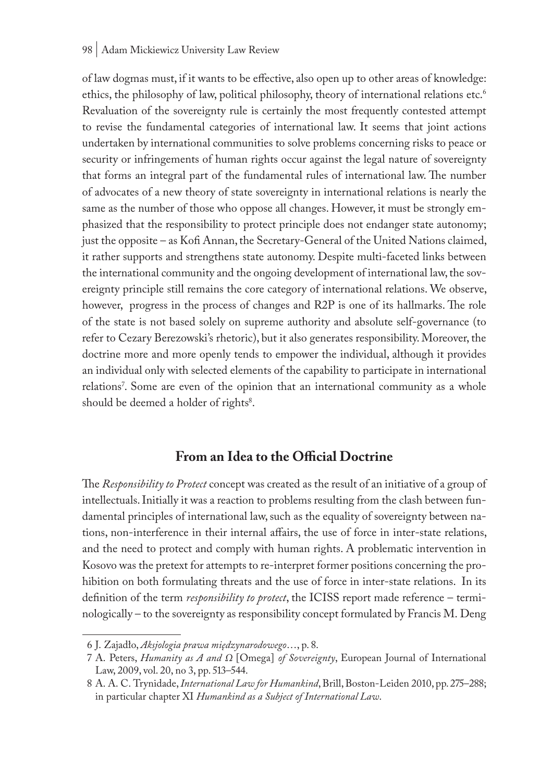#### 98 | Adam Mickiewicz University Law Review

of law dogmas must, if it wants to be effective, also open up to other areas of knowledge: ethics, the philosophy of law, political philosophy, theory of international relations etc.<sup>6</sup> Revaluation of the sovereignty rule is certainly the most frequently contested attempt to revise the fundamental categories of international law. It seems that joint actions undertaken by international communities to solve problems concerning risks to peace or security or infringements of human rights occur against the legal nature of sovereignty that forms an integral part of the fundamental rules of international law. The number of advocates of a new theory of state sovereignty in international relations is nearly the same as the number of those who oppose all changes. However, it must be strongly emphasized that the responsibility to protect principle does not endanger state autonomy; just the opposite – as Kofi Annan, the Secretary-General of the United Nations claimed, it rather supports and strengthens state autonomy. Despite multi-faceted links between the international community and the ongoing development of international law, the sovereignty principle still remains the core category of international relations. We observe, however, progress in the process of changes and R2P is one of its hallmarks. The role of the state is not based solely on supreme authority and absolute self-governance (to refer to Cezary Berezowski's rhetoric), but it also generates responsibility. Moreover, the doctrine more and more openly tends to empower the individual, although it provides an individual only with selected elements of the capability to participate in international relations'. Some are even of the opinion that an international community as a whole should be deemed a holder of rights<sup>8</sup>.

# **From an Idea to the Official Doctrine**

The *Responsibility to Protect* concept was created as the result of an initiative of a group of intellectuals. Initially it was a reaction to problems resulting from the clash between fundamental principles of international law, such as the equality of sovereignty between nations, non-interference in their internal affairs, the use of force in inter-state relations, and the need to protect and comply with human rights. A problematic intervention in Kosovo was the pretext for attempts to re-interpret former positions concerning the prohibition on both formulating threats and the use of force in inter-state relations. In its definition of the term *responsibility to protect*, the ICISS report made reference – terminologically – to the sovereignty as responsibility concept formulated by Francis M. Deng

<sup>6</sup> J. Zajadło, *Aksjologia prawa międzynarodowego*…, p. 8.

<sup>7</sup> A. Peters, *Humanity as A and Ω* [Omega] *of Sovereignty*, European Journal of International Law, 2009, vol. 20, no 3, pp. 513–544.

<sup>8</sup> A. A. C. Trynidade, *International Law for Humankind*, Brill, Boston-Leiden 2010, pp. 275–288; in particular chapter XI *Humankind as a Subject of International Law*.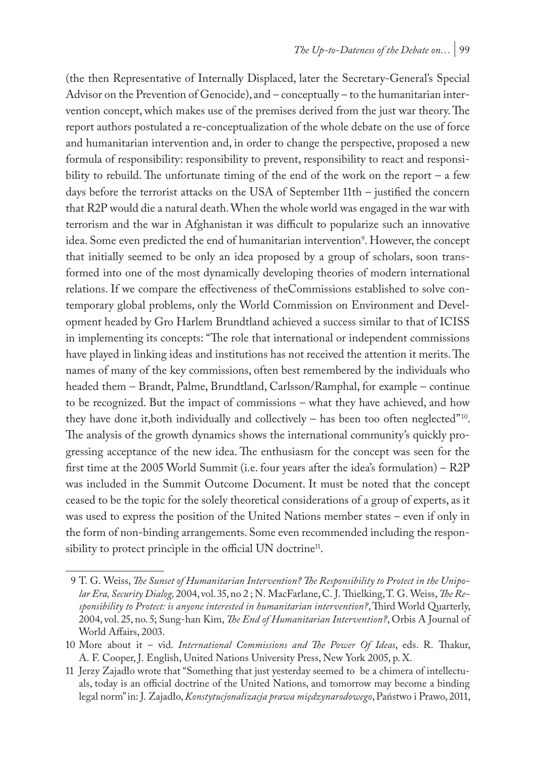(the then Representative of Internally Displaced, later the Secretary-General's Special Advisor on the Prevention of Genocide), and – conceptually – to the humanitarian intervention concept, which makes use of the premises derived from the just war theory. The report authors postulated a re-conceptualization of the whole debate on the use of force and humanitarian intervention and, in order to change the perspective, proposed a new formula of responsibility: responsibility to prevent, responsibility to react and responsibility to rebuild. The unfortunate timing of the end of the work on the report – a few days before the terrorist attacks on the USA of September 11th – justified the concern that R2P would die a natural death. When the whole world was engaged in the war with terrorism and the war in Afghanistan it was difficult to popularize such an innovative idea. Some even predicted the end of humanitarian intervention<sup>9</sup>. However, the concept that initially seemed to be only an idea proposed by a group of scholars, soon transformed into one of the most dynamically developing theories of modern international relations. If we compare the effectiveness of theCommissions established to solve contemporary global problems, only the World Commission on Environment and Development headed by Gro Harlem Brundtland achieved a success similar to that of ICISS in implementing its concepts: "The role that international or independent commissions have played in linking ideas and institutions has not received the attention it merits. The names of many of the key commissions, often best remembered by the individuals who headed them – Brandt, Palme, Brundtland, Carlsson/Ramphal, for example – continue to be recognized. But the impact of commissions – what they have achieved, and how they have done it, both individually and collectively  $-$  has been too often neglected"<sup>10</sup>. The analysis of the growth dynamics shows the international community's quickly progressing acceptance of the new idea. The enthusiasm for the concept was seen for the first time at the 2005 World Summit (i.e. four years after the idea's formulation) – R2P was included in the Summit Outcome Document. It must be noted that the concept ceased to be the topic for the solely theoretical considerations of a group of experts, as it was used to express the position of the United Nations member states – even if only in the form of non-binding arrangements. Some even recommended including the responsibility to protect principle in the official UN doctrine<sup>11</sup>.

<sup>9</sup> T. G. Weiss, *The Sunset of Humanitarian Intervention? The Responsibility to Protect in the Unipolar Era, Security Dialog,* 2004, vol. 35, no 2 ; N. MacFarlane, C. J. Thielking, T. G. Weiss, *The Responsibility to Protect: is anyone interested in humanitarian intervention?*, Third World Quarterly, 2004, vol. 25, no. 5; Sung-han Kim, *The End of Humanitarian Intervention?*, Orbis A Journal of World Affairs, 2003.

<sup>10</sup> More about it – vid. *International Commissions and The Power Of Ideas*, eds. R. Thakur, A. F. Cooper, J. English, United Nations University Press, New York 2005, p. X.

<sup>11</sup> Jerzy Zajadło wrote that "Something that just yesterday seemed to be a chimera of intellectuals, today is an official doctrine of the United Nations, and tomorrow may become a binding legal norm" in: J. Zajadło, *Konstytucjonalizacja prawa międzynarodowego*, Państwo i Prawo, 2011,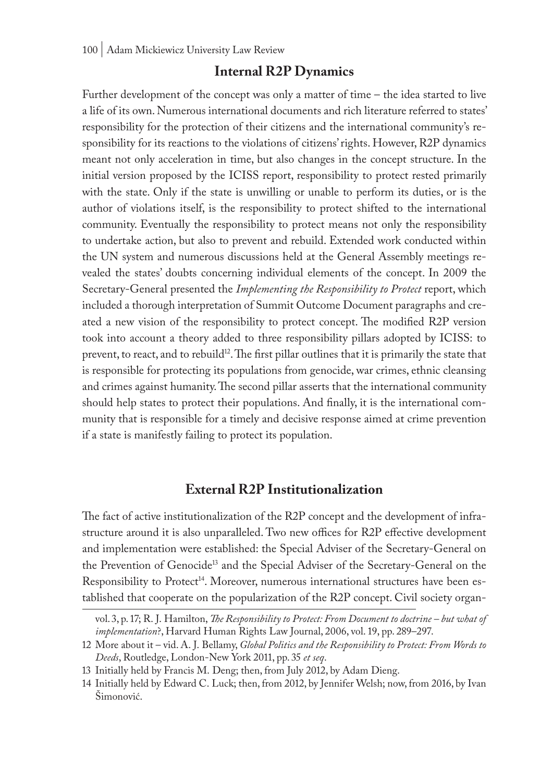## **Internal R2P Dynamics**

Further development of the concept was only a matter of time – the idea started to live a life of its own. Numerous international documents and rich literature referred to states' responsibility for the protection of their citizens and the international community's responsibility for its reactions to the violations of citizens' rights. However, R2P dynamics meant not only acceleration in time, but also changes in the concept structure. In the initial version proposed by the ICISS report, responsibility to protect rested primarily with the state. Only if the state is unwilling or unable to perform its duties, or is the author of violations itself, is the responsibility to protect shifted to the international community. Eventually the responsibility to protect means not only the responsibility to undertake action, but also to prevent and rebuild. Extended work conducted within the UN system and numerous discussions held at the General Assembly meetings revealed the states' doubts concerning individual elements of the concept. In 2009 the Secretary-General presented the *Implementing the Responsibility to Protect* report, which included a thorough interpretation of Summit Outcome Document paragraphs and created a new vision of the responsibility to protect concept. The modified R2P version took into account a theory added to three responsibility pillars adopted by ICISS: to prevent, to react, and to rebuild<sup>12</sup>. The first pillar outlines that it is primarily the state that is responsible for protecting its populations from genocide, war crimes, ethnic cleansing and crimes against humanity. The second pillar asserts that the international community should help states to protect their populations. And finally, it is the international community that is responsible for a timely and decisive response aimed at crime prevention if a state is manifestly failing to protect its population.

## **External R2P Institutionalization**

The fact of active institutionalization of the R2P concept and the development of infrastructure around it is also unparalleled. Two new offices for R2P effective development and implementation were established: the Special Adviser of the Secretary-General on the Prevention of Genocide13 and the Special Adviser of the Secretary-General on the Responsibility to Protect<sup>14</sup>. Moreover, numerous international structures have been established that cooperate on the popularization of the R2P concept. Civil society organ-

vol. 3, p. 17; R. J. Hamilton, *The Responsibility to Protect: From Document to doctrine – but what of implementation*?, Harvard Human Rights Law Journal, 2006, vol. 19, pp. 289–297.

<sup>12</sup> More about it – vid. A. J. Bellamy, *Global Politics and the Responsibility to Protect: From Words to Deeds*, Routledge, London-New York 2011, pp. 35 *et seq*.

<sup>13</sup> Initially held by Francis M. Deng; then, from July 2012, by Adam Dieng.

<sup>14</sup> Initially held by Edward C. Luck; then, from 2012, by Jennifer Welsh; now, from 2016, by Ivan Šimonović.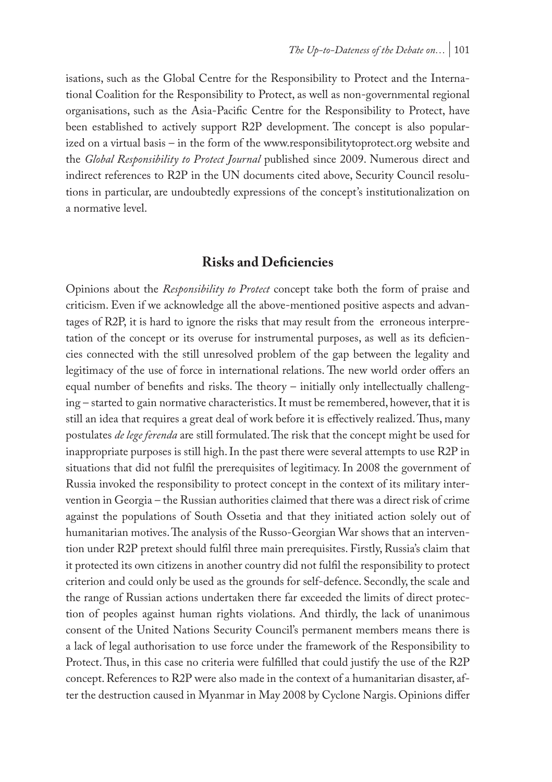isations, such as the Global Centre for the Responsibility to Protect and the International Coalition for the Responsibility to Protect, as well as non-governmental regional organisations, such as the Asia-Pacific Centre for the Responsibility to Protect, have been established to actively support R2P development. The concept is also popularized on a virtual basis – in the form of the www.responsibilitytoprotect.org website and the *Global Responsibility to Protect Journal* published since 2009. Numerous direct and indirect references to R2P in the UN documents cited above, Security Council resolutions in particular, are undoubtedly expressions of the concept's institutionalization on a normative level.

## **Risks and Deficiencies**

Opinions about the *Responsibility to Protect* concept take both the form of praise and criticism. Even if we acknowledge all the above-mentioned positive aspects and advantages of R2P, it is hard to ignore the risks that may result from the erroneous interpretation of the concept or its overuse for instrumental purposes, as well as its deficiencies connected with the still unresolved problem of the gap between the legality and legitimacy of the use of force in international relations. The new world order offers an equal number of benefits and risks. The theory – initially only intellectually challenging – started to gain normative characteristics. It must be remembered, however, that it is still an idea that requires a great deal of work before it is effectively realized. Thus, many postulates *de lege ferenda* are still formulated. The risk that the concept might be used for inappropriate purposes is still high. In the past there were several attempts to use R2P in situations that did not fulfil the prerequisites of legitimacy. In 2008 the government of Russia invoked the responsibility to protect concept in the context of its military intervention in Georgia – the Russian authorities claimed that there was a direct risk of crime against the populations of South Ossetia and that they initiated action solely out of humanitarian motives. The analysis of the Russo-Georgian War shows that an intervention under R2P pretext should fulfil three main prerequisites. Firstly, Russia's claim that it protected its own citizens in another country did not fulfil the responsibility to protect criterion and could only be used as the grounds for self-defence. Secondly, the scale and the range of Russian actions undertaken there far exceeded the limits of direct protection of peoples against human rights violations. And thirdly, the lack of unanimous consent of the United Nations Security Council's permanent members means there is a lack of legal authorisation to use force under the framework of the Responsibility to Protect. Thus, in this case no criteria were fulfilled that could justify the use of the R2P concept. References to R2P were also made in the context of a humanitarian disaster, after the destruction caused in Myanmar in May 2008 by Cyclone Nargis. Opinions differ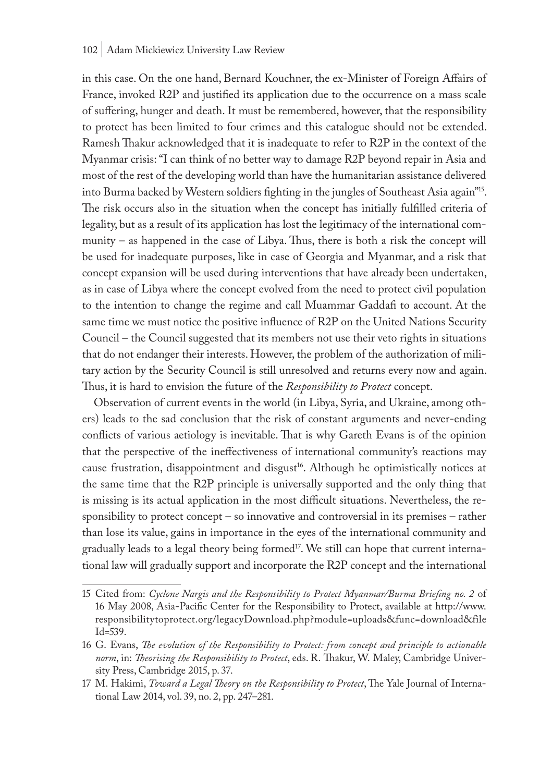#### 102 | Adam Mickiewicz University Law Review

in this case. On the one hand, Bernard Kouchner, the ex-Minister of Foreign Affairs of France, invoked R2P and justified its application due to the occurrence on a mass scale of suffering, hunger and death. It must be remembered, however, that the responsibility to protect has been limited to four crimes and this catalogue should not be extended. Ramesh Thakur acknowledged that it is inadequate to refer to R2P in the context of the Myanmar crisis: "I can think of no better way to damage R2P beyond repair in Asia and most of the rest of the developing world than have the humanitarian assistance delivered into Burma backed by Western soldiers fighting in the jungles of Southeast Asia again"15. The risk occurs also in the situation when the concept has initially fulfilled criteria of legality, but as a result of its application has lost the legitimacy of the international community – as happened in the case of Libya. Thus, there is both a risk the concept will be used for inadequate purposes, like in case of Georgia and Myanmar, and a risk that concept expansion will be used during interventions that have already been undertaken, as in case of Libya where the concept evolved from the need to protect civil population to the intention to change the regime and call Muammar Gaddafi to account. At the same time we must notice the positive influence of R2P on the United Nations Security Council – the Council suggested that its members not use their veto rights in situations that do not endanger their interests. However, the problem of the authorization of military action by the Security Council is still unresolved and returns every now and again. Thus, it is hard to envision the future of the *Responsibility to Protect* concept.

Observation of current events in the world (in Libya, Syria, and Ukraine, among others) leads to the sad conclusion that the risk of constant arguments and never-ending conflicts of various aetiology is inevitable. That is why Gareth Evans is of the opinion that the perspective of the ineffectiveness of international community's reactions may cause frustration, disappointment and disgust<sup>16</sup>. Although he optimistically notices at the same time that the R2P principle is universally supported and the only thing that is missing is its actual application in the most difficult situations. Nevertheless, the responsibility to protect concept – so innovative and controversial in its premises – rather than lose its value, gains in importance in the eyes of the international community and gradually leads to a legal theory being formed<sup>17</sup>. We still can hope that current international law will gradually support and incorporate the R2P concept and the international

<sup>15</sup> Cited from: *Cyclone Nargis and the Responsibility to Protect Myanmar/Burma Briefing no. 2* of 16 May 2008, Asia-Pacific Center for the Responsibility to Protect, available at http://www. responsibilitytoprotect.org/legacyDownload.php?module=uploads&func=download&file Id=539.

<sup>16</sup> G. Evans, *The evolution of the Responsibility to Protect: from concept and principle to actionable norm*, in: *Theorising the Responsibility to Protect*, eds. R. Thakur, W. Maley, Cambridge University Press, Cambridge 2015, p. 37.

<sup>17</sup> M. Hakimi, *Toward a Legal Theory on the Responsibility to Protect*, The Yale Journal of International Law 2014, vol. 39, no. 2, pp. 247–281.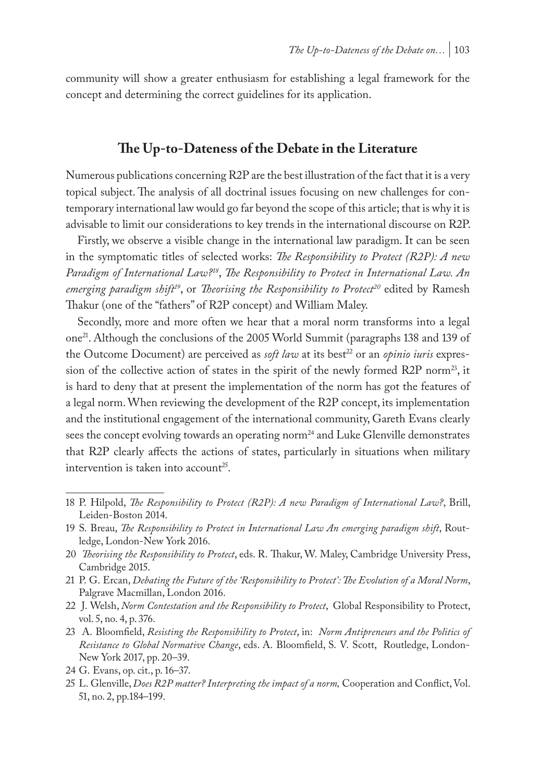community will show a greater enthusiasm for establishing a legal framework for the concept and determining the correct guidelines for its application.

### **The Up-to-Dateness of the Debate in the Literature**

Numerous publications concerning R2P are the best illustration of the fact that it is a very topical subject. The analysis of all doctrinal issues focusing on new challenges for contemporary international law would go far beyond the scope of this article; that is why it is advisable to limit our considerations to key trends in the international discourse on R2P.

Firstly, we observe a visible change in the international law paradigm. It can be seen in the symptomatic titles of selected works: *The Responsibility to Protect (R2P): A new Paradigm of International Law?18*, *The Responsibility to Protect in International Law. An*  emerging paradigm shift<sup>19</sup>, or *Theorising the Responsibility to Protect<sup>20</sup>* edited by Ramesh Thakur (one of the "fathers" of R2P concept) and William Maley.

Secondly, more and more often we hear that a moral norm transforms into a legal one21. Although the conclusions of the 2005 World Summit (paragraphs 138 and 139 of the Outcome Document) are perceived as *soft law* at its best<sup>22</sup> or an *opinio iuris* expression of the collective action of states in the spirit of the newly formed R2P norm<sup>23</sup>, it is hard to deny that at present the implementation of the norm has got the features of a legal norm. When reviewing the development of the R2P concept, its implementation and the institutional engagement of the international community, Gareth Evans clearly sees the concept evolving towards an operating norm<sup>24</sup> and Luke Glenville demonstrates that R2P clearly affects the actions of states, particularly in situations when military intervention is taken into account<sup>25</sup>.

- 22 J. Welsh, *Norm Contestation and the Responsibility to Protect*, Global Responsibility to Protect, vol. 5, no. 4, p. 376.
- 23 A. Bloomfield, *Resisting the Responsibility to Protect*, in: *Norm Antipreneurs and the Politics of Resistance to Global Normative Change*, eds. A. Bloomfield, S. V. Scott, Routledge, London-New York 2017, pp. 20–39.

<sup>18</sup> P. Hilpold, *The Responsibility to Protect (R2P): A new Paradigm of International Law?*, Brill, Leiden-Boston 2014.

<sup>19</sup> S. Breau, *The Responsibility to Protect in International Law An emerging paradigm shift*, Routledge, London-New York 2016.

<sup>20</sup> *Theorising the Responsibility to Protect*, eds. R. Thakur, W. Maley, Cambridge University Press, Cambridge 2015.

<sup>21</sup> P. G. Ercan, *Debating the Future of the 'Responsibility to Protect': The Evolution of a Moral Norm*, Palgrave Macmillan, London 2016.

<sup>24</sup> G. Evans, op. cit., p. 16–37.

<sup>25</sup> L. Glenville, *Does R2P matter? Interpreting the impact of a norm,* Cooperation and Conflict, Vol. 51, no. 2, pp.184–199.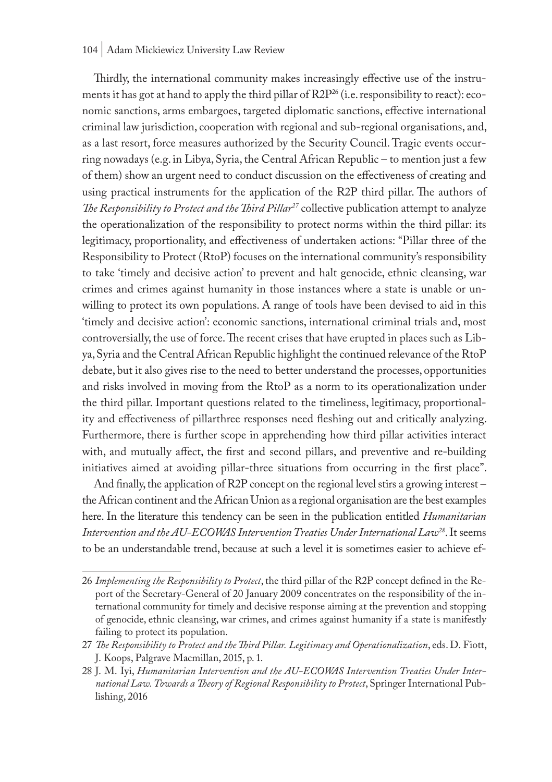#### 104 | Adam Mickiewicz University Law Review

Thirdly, the international community makes increasingly effective use of the instruments it has got at hand to apply the third pillar of R2P<sup>26</sup> (i.e. responsibility to react): economic sanctions, arms embargoes, targeted diplomatic sanctions, effective international criminal law jurisdiction, cooperation with regional and sub-regional organisations, and, as a last resort, force measures authorized by the Security Council. Tragic events occurring nowadays (e.g. in Libya, Syria, the Central African Republic – to mention just a few of them) show an urgent need to conduct discussion on the effectiveness of creating and using practical instruments for the application of the R2P third pillar. The authors of *The Responsibility to Protect and the Third Pillar27* collective publication attempt to analyze the operationalization of the responsibility to protect norms within the third pillar: its legitimacy, proportionality, and effectiveness of undertaken actions: "Pillar three of the Responsibility to Protect (RtoP) focuses on the international community's responsibility to take 'timely and decisive action' to prevent and halt genocide, ethnic cleansing, war crimes and crimes against humanity in those instances where a state is unable or unwilling to protect its own populations. A range of tools have been devised to aid in this 'timely and decisive action': economic sanctions, international criminal trials and, most controversially, the use of force. The recent crises that have erupted in places such as Libya, Syria and the Central African Republic highlight the continued relevance of the RtoP debate, but it also gives rise to the need to better understand the processes, opportunities and risks involved in moving from the RtoP as a norm to its operationalization under the third pillar. Important questions related to the timeliness, legitimacy, proportionality and effectiveness of pillarthree responses need fleshing out and critically analyzing. Furthermore, there is further scope in apprehending how third pillar activities interact with, and mutually affect, the first and second pillars, and preventive and re-building initiatives aimed at avoiding pillar-three situations from occurring in the first place".

And finally, the application of R2P concept on the regional level stirs a growing interest – the African continent and the African Union as a regional organisation are the best examples here. In the literature this tendency can be seen in the publication entitled *Humanitarian Intervention and the AU-ECOWAS Intervention Treaties Under International Law28*. It seems to be an understandable trend, because at such a level it is sometimes easier to achieve ef-

<sup>26</sup> *Implementing the Responsibility to Protect*, the third pillar of the R2P concept defined in the Report of the Secretary-General of 20 January 2009 concentrates on the responsibility of the international community for timely and decisive response aiming at the prevention and stopping of genocide, ethnic cleansing, war crimes, and crimes against humanity if a state is manifestly failing to protect its population.

<sup>27</sup> *The Responsibility to Protect and the Third Pillar. Legitimacy and Operationalization*, eds. D. Fiott, J. Koops, Palgrave Macmillan, 2015, p. 1.

<sup>28</sup> J. M. Iyi, *Humanitarian Intervention and the AU-ECOWAS Intervention Treaties Under International Law. Towards a Theory of Regional Responsibility to Protect*, Springer International Publishing, 2016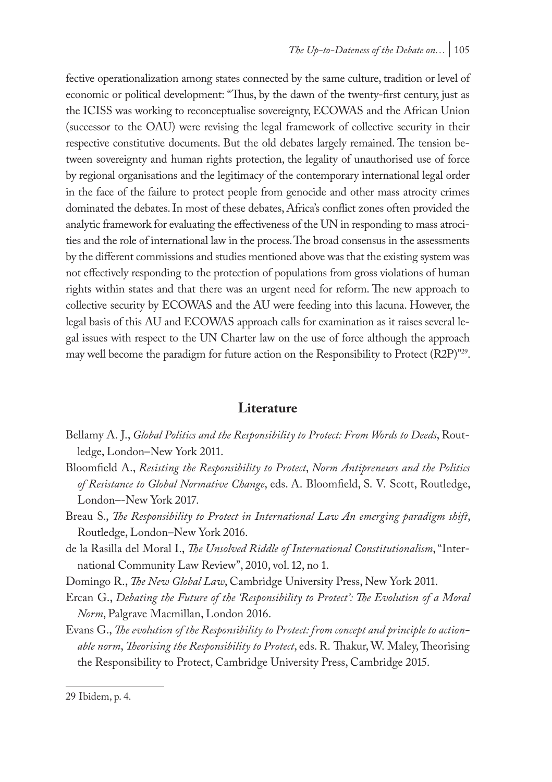fective operationalization among states connected by the same culture, tradition or level of economic or political development: "Thus, by the dawn of the twenty-first century, just as the ICISS was working to reconceptualise sovereignty, ECOWAS and the African Union (successor to the OAU) were revising the legal framework of collective security in their respective constitutive documents. But the old debates largely remained. The tension between sovereignty and human rights protection, the legality of unauthorised use of force by regional organisations and the legitimacy of the contemporary international legal order in the face of the failure to protect people from genocide and other mass atrocity crimes dominated the debates. In most of these debates, Africa's conflict zones often provided the analytic framework for evaluating the effectiveness of the UN in responding to mass atrocities and the role of international law in the process. The broad consensus in the assessments by the different commissions and studies mentioned above was that the existing system was not effectively responding to the protection of populations from gross violations of human rights within states and that there was an urgent need for reform. The new approach to collective security by ECOWAS and the AU were feeding into this lacuna. However, the legal basis of this AU and ECOWAS approach calls for examination as it raises several legal issues with respect to the UN Charter law on the use of force although the approach may well become the paradigm for future action on the Responsibility to Protect (R2P)"29.

#### **Literature**

- Bellamy A. J., *Global Politics and the Responsibility to Protect: From Words to Deeds*, Routledge, London–New York 2011.
- Bloomfield A., *Resisting the Responsibility to Protect*, *Norm Antipreneurs and the Politics of Resistance to Global Normative Change*, eds. A. Bloomfield, S. V. Scott, Routledge, London–-New York 2017.
- Breau S., *The Responsibility to Protect in International Law An emerging paradigm shift*, Routledge, London–New York 2016.
- de la Rasilla del Moral I., *The Unsolved Riddle of International Constitutionalism*, "International Community Law Review", 2010, vol. 12, no 1.

Domingo R., *The New Global Law*, Cambridge University Press, New York 2011.

- Ercan G., *Debating the Future of the 'Responsibility to Protect': The Evolution of a Moral Norm*, Palgrave Macmillan, London 2016.
- Evans G., *The evolution of the Responsibility to Protect: from concept and principle to actionable norm*, *Theorising the Responsibility to Protect*, eds. R. Thakur, W. Maley, Theorising the Responsibility to Protect, Cambridge University Press, Cambridge 2015.

<sup>29</sup> Ibidem, p. 4.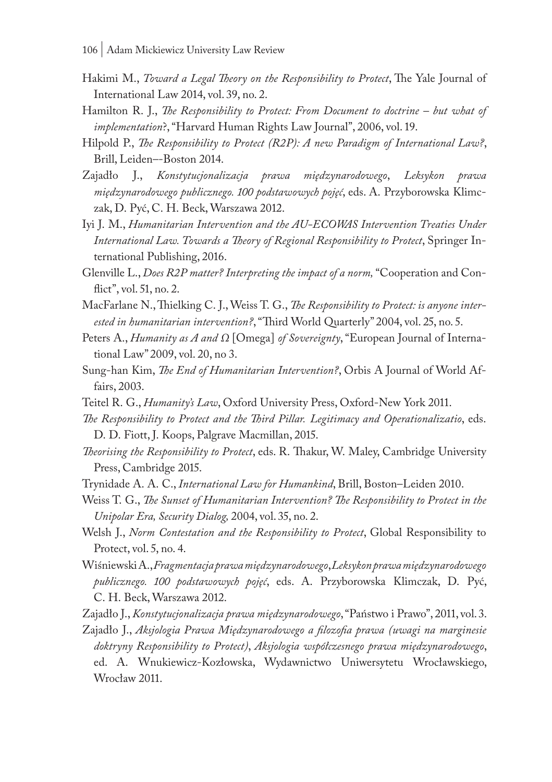- Hakimi M., *Toward a Legal Theory on the Responsibility to Protect*, The Yale Journal of International Law 2014, vol. 39, no. 2.
- Hamilton R. J., *The Responsibility to Protect: From Document to doctrine but what of implementation*?, "Harvard Human Rights Law Journal", 2006, vol. 19.
- Hilpold P., *The Responsibility to Protect (R2P): A new Paradigm of International Law?*, Brill, Leiden–-Boston 2014.
- Zajadło J., *Konstytucjonalizacja prawa międzynarodowego*, *Leksykon prawa międzynarodowego publicznego. 100 podstawowych pojęć*, eds. A. Przyborowska Klimczak, D. Pyć, C. H. Beck, Warszawa 2012.
- Iyi J. M., *Humanitarian Intervention and the AU-ECOWAS Intervention Treaties Under International Law. Towards a Theory of Regional Responsibility to Protect*, Springer International Publishing, 2016.
- Glenville L., *Does R2P matter? Interpreting the impact of a norm,* "Cooperation and Conflict", vol. 51, no. 2.
- MacFarlane N., Thielking C. J., Weiss T. G., *The Responsibility to Protect: is anyone interested in humanitarian intervention?*, "Third World Quarterly" 2004, vol. 25, no. 5.
- Peters A., *Humanity as A and Ω* [Omega] *of Sovereignty*, "European Journal of International Law" 2009, vol. 20, no 3.
- Sung-han Kim, *The End of Humanitarian Intervention?*, Orbis A Journal of World Affairs, 2003.
- Teitel R. G., *Humanity's Law*, Oxford University Press, Oxford-New York 2011.
- *The Responsibility to Protect and the Third Pillar. Legitimacy and Operationalizatio*, eds. D. D. Fiott, J. Koops, Palgrave Macmillan, 2015.
- *Theorising the Responsibility to Protect*, eds. R. Thakur, W. Maley, Cambridge University Press, Cambridge 2015.
- Trynidade A. A. C., *International Law for Humankind*, Brill, Boston–Leiden 2010.
- Weiss T. G., *The Sunset of Humanitarian Intervention? The Responsibility to Protect in the Unipolar Era, Security Dialog,* 2004, vol. 35, no. 2.
- Welsh J., *Norm Contestation and the Responsibility to Protect*, Global Responsibility to Protect, vol. 5, no. 4.
- Wiśniewski A., *Fragmentacja prawa międzynarodowego*, *Leksykon prawa międzynarodowego publicznego. 100 podstawowych pojęć*, eds. A. Przyborowska Klimczak, D. Pyć, C. H. Beck, Warszawa 2012.

Zajadło J., *Konstytucjonalizacja prawa międzynarodowego*, "Państwo i Prawo", 2011, vol. 3.

Zajadło J., *Aksjologia Prawa Międzynarodowego a filozofia prawa (uwagi na marginesie doktryny Responsibility to Protect)*, *Aksjologia współczesnego prawa międzynarodowego*, ed. A. Wnukiewicz-Kozłowska, Wydawnictwo Uniwersytetu Wrocławskiego, Wrocław 2011.